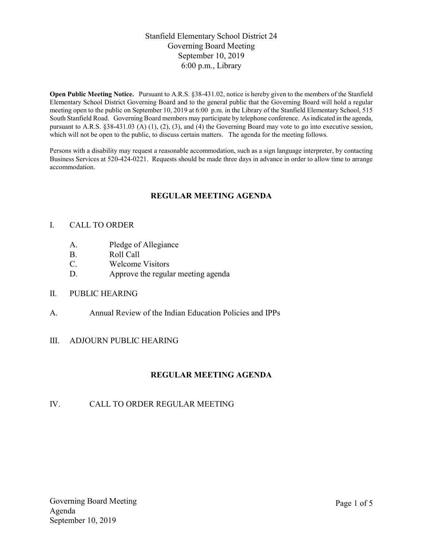## Stanfield Elementary School District 24 Governing Board Meeting September 10, 2019 6:00 p.m., Library

Open Public Meeting Notice. Pursuant to A.R.S. §38-431.02, notice is hereby given to the members of the Stanfield Elementary School District Governing Board and to the general public that the Governing Board will hold a regular meeting open to the public on September 10, 2019 at 6:00 p.m. in the Library of the Stanfield Elementary School, 515 South Stanfield Road. Governing Board members may participate by telephone conference. As indicated in the agenda, pursuant to A.R.S. §38-431.03 (A) (1), (2), (3), and (4) the Governing Board may vote to go into executive session, which will not be open to the public, to discuss certain matters. The agenda for the meeting follows.

Persons with a disability may request a reasonable accommodation, such as a sign language interpreter, by contacting Business Services at 520-424-0221. Requests should be made three days in advance in order to allow time to arrange accommodation.

# REGULAR MEETING AGENDA

### I. CALL TO ORDER

- A. Pledge of Allegiance
- B. Roll Call
- C. Welcome Visitors
- D. Approve the regular meeting agenda
- II. PUBLIC HEARING
- A. Annual Review of the Indian Education Policies and IPPs
- III. ADJOURN PUBLIC HEARING

### REGULAR MEETING AGENDA

### IV. CALL TO ORDER REGULAR MEETING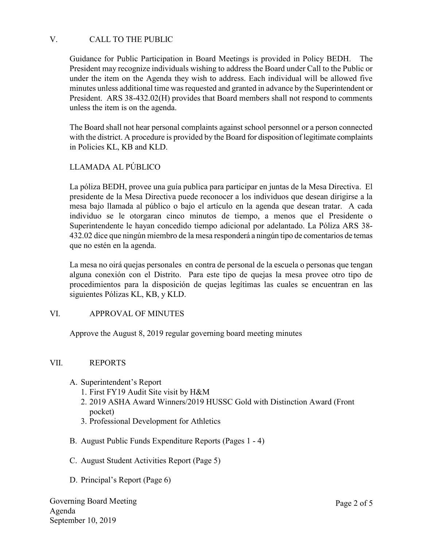## V. CALL TO THE PUBLIC

Guidance for Public Participation in Board Meetings is provided in Policy BEDH. The President may recognize individuals wishing to address the Board under Call to the Public or under the item on the Agenda they wish to address. Each individual will be allowed five minutes unless additional time was requested and granted in advance by the Superintendent or President. ARS 38-432.02(H) provides that Board members shall not respond to comments unless the item is on the agenda.

The Board shall not hear personal complaints against school personnel or a person connected with the district. A procedure is provided by the Board for disposition of legitimate complaints in Policies KL, KB and KLD.

# LLAMADA AL PÚBLICO

La póliza BEDH, provee una guía publica para participar en juntas de la Mesa Directiva. El presidente de la Mesa Directiva puede reconocer a los individuos que desean dirigirse a la mesa bajo llamada al público o bajo el artículo en la agenda que desean tratar. A cada individuo se le otorgaran cinco minutos de tiempo, a menos que el Presidente o Superintendente le hayan concedido tiempo adicional por adelantado. La Póliza ARS 38- 432.02 dice que ningún miembro de la mesa responderá a ningún tipo de comentarios de temas que no estén en la agenda.

La mesa no oirá quejas personales en contra de personal de la escuela o personas que tengan alguna conexión con el Distrito. Para este tipo de quejas la mesa provee otro tipo de procedimientos para la disposición de quejas legítimas las cuales se encuentran en las siguientes Pólizas KL, KB, y KLD.

### VI. APPROVAL OF MINUTES

Approve the August 8, 2019 regular governing board meeting minutes

### VII. REPORTS

- A. Superintendent's Report
	- 1. First FY19 Audit Site visit by H&M
	- 2. 2019 ASHA Award Winners/2019 HUSSC Gold with Distinction Award (Front pocket)
	- 3. Professional Development for Athletics
- B. August Public Funds Expenditure Reports (Pages 1 4)
- C. August Student Activities Report (Page 5)
- D. Principal's Report (Page 6)

Governing Board Meeting Agenda September 10, 2019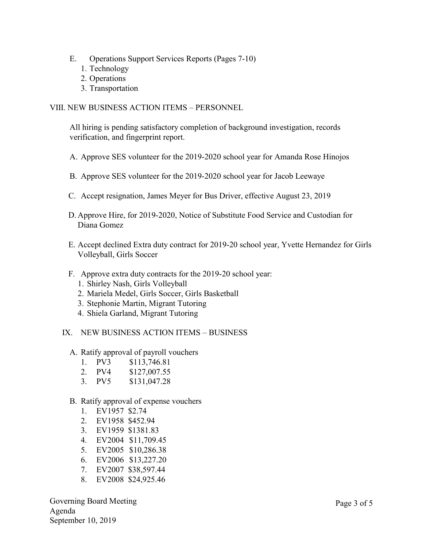- E. Operations Support Services Reports (Pages 7-10)
	- 1. Technology
	- 2. Operations
	- 3. Transportation

### VIII. NEW BUSINESS ACTION ITEMS – PERSONNEL

All hiring is pending satisfactory completion of background investigation, records verification, and fingerprint report.

- A. Approve SES volunteer for the 2019-2020 school year for Amanda Rose Hinojos
- B. Approve SES volunteer for the 2019-2020 school year for Jacob Leewaye
- C. Accept resignation, James Meyer for Bus Driver, effective August 23, 2019
- D. Approve Hire, for 2019-2020, Notice of Substitute Food Service and Custodian for Diana Gomez
- E. Accept declined Extra duty contract for 2019-20 school year, Yvette Hernandez for Girls Volleyball, Girls Soccer
- F. Approve extra duty contracts for the 2019-20 school year:
	- 1. Shirley Nash, Girls Volleyball
	- 2. Mariela Medel, Girls Soccer, Girls Basketball
	- 3. Stephonie Martin, Migrant Tutoring
	- 4. Shiela Garland, Migrant Tutoring
- IX. NEW BUSINESS ACTION ITEMS BUSINESS
	- A. Ratify approval of payroll vouchers
		- 1. PV3 \$113,746.81
		- 2. PV4 \$127,007.55
		- 3. PV5 \$131,047.28
	- B. Ratify approval of expense vouchers
		- 1. EV1957 \$2.74
		- 2. EV1958 \$452.94
		- 3. EV1959 \$1381.83
		- 4. EV2004 \$11,709.45
		- 5. EV2005 \$10,286.38
		- 6. EV2006 \$13,227.20
		- 7. EV2007 \$38,597.44
		- 8. EV2008 \$24,925.46

Governing Board Meeting Agenda September 10, 2019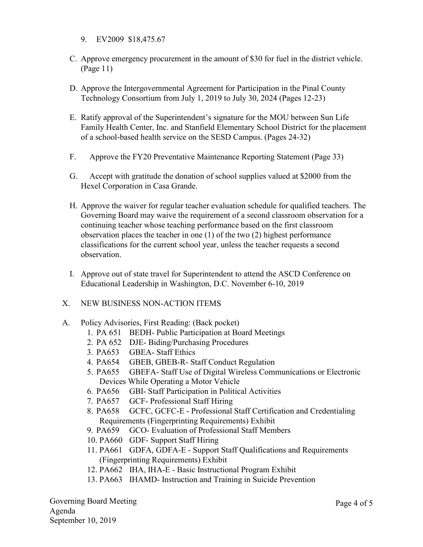- 9. EV2009 \$18,475.67
- C. Approve emergency procurement in the amount of \$30 for fuel in the district vehicle. (Page 11)
- D. Approve the Intergovernmental Agreement for Participation in the Pinal County Technology Consortium from July 1, 2019 to July 30, 2024 (Pages 12-23)
- E. Ratify approval of the Superintendent's signature for the MOU between Sun Life Family Health Center, Inc. and Stanfield Elementary School District for the placement of a school-based health service on the SESD Campus. (Pages 24-32)
- F. Approve the FY20 Preventative Maintenance Reporting Statement (Page 33)
- G. Accept with gratitude the donation of school supplies valued at \$2000 from the Hexel Corporation in Casa Grande.
- H. Approve the waiver for regular teacher evaluation schedule for qualified teachers. The Governing Board may waive the requirement of a second classroom observation for a continuing teacher whose teaching performance based on the first classroom observation places the teacher in one (1) of the two (2) highest performance classifications for the current school year, unless the teacher requests a second observation.
- I. Approve out of state travel for Superintendent to attend the ASCD Conference on Educational Leadership in Washington, D.C. November 6-10, 2019
- X. NEW BUSINESS NON-ACTION ITEMS
- A. Policy Advisories, First Reading: (Back pocket)
	- 1. PA 651 BEDH- Public Participation at Board Meetings
	- 2. PA 652 DJE- Biding/Purchasing Procedures
	- 3. PA653 GBEA- Staff Ethics
	- 4. PA654 GBEB, GBEB-R- Staff Conduct Regulation
	- 5. PA655 GBEFA- Staff Use of Digital Wireless Communications or Electronic Devices While Operating a Motor Vehicle
	- 6. PA656 GBI- Staff Participation in Political Activities
	- 7. PA657 GCF- Professional Staff Hiring
	- 8. PA658 GCFC, GCFC-E Professional Staff Certification and Credentialing Requirements (Fingerprinting Requirements) Exhibit
	- 9. PA659 GCO- Evaluation of Professional Staff Members
	- 10. PA660 GDF- Support Staff Hiring
	- 11. PA661 GDFA, GDFA-E Support Staff Qualifications and Requirements (Fingerprinting Requirements) Exhibit
	- 12. PA662 IHA, IHA-E Basic Instructional Program Exhibit
	- 13. PA663 IHAMD- Instruction and Training in Suicide Prevention